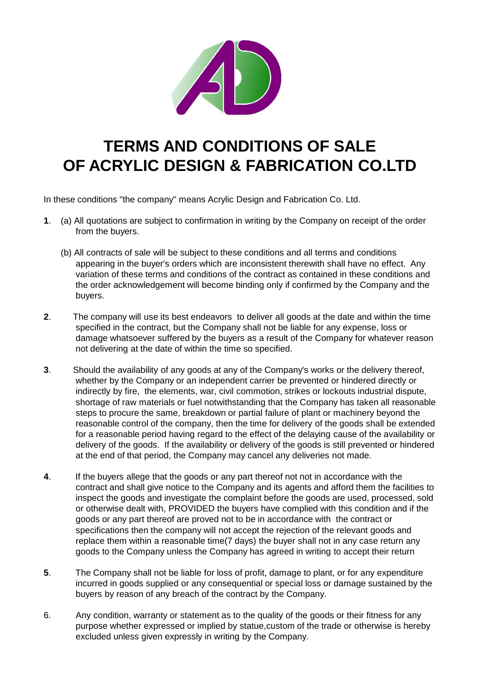

## **TERMS AND CONDITIONS OF SALE OF ACRYLIC DESIGN & FABRICATION CO.LTD**

In these conditions "the company" means Acrylic Design and Fabrication Co. Ltd.

- **1**. (a) All quotations are subject to confirmation in writing by the Company on receipt of the order from the buyers.
	- (b) All contracts of sale will be subject to these conditions and all terms and conditions appearing in the buyer's orders which are inconsistent therewith shall have no effect. Any variation of these terms and conditions of the contract as contained in these conditions and the order acknowledgement will become binding only if confirmed by the Company and the buyers.
- **2**. The company will use its best endeavors to deliver all goods at the date and within the time specified in the contract, but the Company shall not be liable for any expense, loss or damage whatsoever suffered by the buyers as a result of the Company for whatever reason not delivering at the date of within the time so specified.
- **3**. Should the availability of any goods at any of the Company's works or the delivery thereof, whether by the Company or an independent carrier be prevented or hindered directly or indirectly by fire, the elements, war, civil commotion, strikes or lockouts industrial dispute, shortage of raw materials or fuel notwithstanding that the Company has taken all reasonable steps to procure the same, breakdown or partial failure of plant or machinery beyond the reasonable control of the company, then the time for delivery of the goods shall be extended for a reasonable period having regard to the effect of the delaying cause of the availability or delivery of the goods. If the availability or delivery of the goods is still prevented or hindered at the end of that period, the Company may cancel any deliveries not made.
- **4**. If the buyers allege that the goods or any part thereof not not in accordance with the contract and shall give notice to the Company and its agents and afford them the facilities to inspect the goods and investigate the complaint before the goods are used, processed, sold or otherwise dealt with, PROVIDED the buyers have complied with this condition and if the goods or any part thereof are proved not to be in accordance with the contract or specifications then the company will not accept the rejection of the relevant goods and replace them within a reasonable time(7 days) the buyer shall not in any case return any goods to the Company unless the Company has agreed in writing to accept their return
- **5**. The Company shall not be liable for loss of profit, damage to plant, or for any expenditure incurred in goods supplied or any consequential or special loss or damage sustained by the buyers by reason of any breach of the contract by the Company.
- 6. Any condition, warranty or statement as to the quality of the goods or their fitness for any purpose whether expressed or implied by statue,custom of the trade or otherwise is hereby excluded unless given expressly in writing by the Company.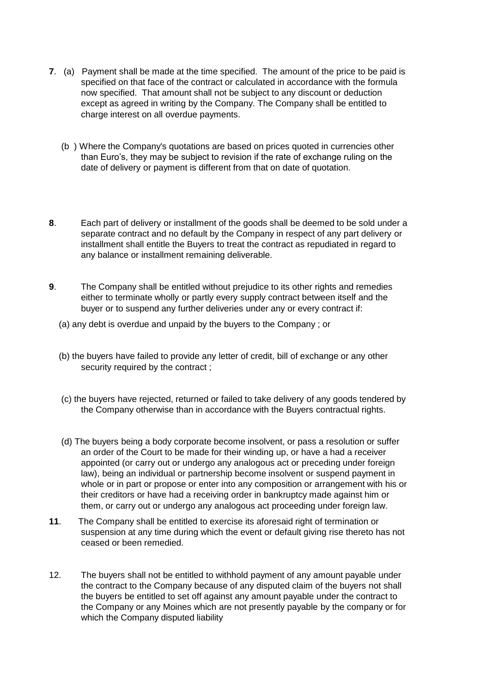- **7**. (a) Payment shall be made at the time specified. The amount of the price to be paid is specified on that face of the contract or calculated in accordance with the formula now specified. That amount shall not be subject to any discount or deduction except as agreed in writing by the Company. The Company shall be entitled to charge interest on all overdue payments.
	- (b ) Where the Company's quotations are based on prices quoted in currencies other than Euro's, they may be subject to revision if the rate of exchange ruling on the date of delivery or payment is different from that on date of quotation.
- **8**. Each part of delivery or installment of the goods shall be deemed to be sold under a separate contract and no default by the Company in respect of any part delivery or installment shall entitle the Buyers to treat the contract as repudiated in regard to any balance or installment remaining deliverable.
- **9**. The Company shall be entitled without prejudice to its other rights and remedies either to terminate wholly or partly every supply contract between itself and the buyer or to suspend any further deliveries under any or every contract if:
	- (a) any debt is overdue and unpaid by the buyers to the Company ; or
	- (b) the buyers have failed to provide any letter of credit, bill of exchange or any other security required by the contract ;
	- (c) the buyers have rejected, returned or failed to take delivery of any goods tendered by the Company otherwise than in accordance with the Buyers contractual rights.
	- (d) The buyers being a body corporate become insolvent, or pass a resolution or suffer an order of the Court to be made for their winding up, or have a had a receiver appointed (or carry out or undergo any analogous act or preceding under foreign law), being an individual or partnership become insolvent or suspend payment in whole or in part or propose or enter into any composition or arrangement with his or their creditors or have had a receiving order in bankruptcy made against him or them, or carry out or undergo any analogous act proceeding under foreign law.
- **11**. The Company shall be entitled to exercise its aforesaid right of termination or suspension at any time during which the event or default giving rise thereto has not ceased or been remedied.
- 12. The buyers shall not be entitled to withhold payment of any amount payable under the contract to the Company because of any disputed claim of the buyers not shall the buyers be entitled to set off against any amount payable under the contract to the Company or any Moines which are not presently payable by the company or for which the Company disputed liability